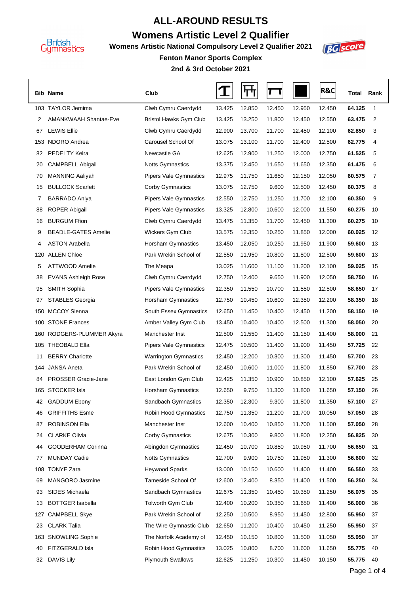

## **ALL-AROUND RESULTS**

## **Womens Artistic Level 2 Qualifier**

**Womens Artistic National Compulsory Level 2 Qualifier 2021**



**2nd & 3rd October 2021 Fenton Manor Sports Complex**

|     | <b>Bib Name</b>              | Club                          |        | ┞┯╀    | T      |        | <b>R&amp;C</b> | Total  | Rank |
|-----|------------------------------|-------------------------------|--------|--------|--------|--------|----------------|--------|------|
|     | 103 TAYLOR Jemima            | Clwb Cymru Caerdydd           | 13.425 | 12.850 | 12.450 | 12.950 | 12.450         | 64.125 | 1    |
| 2   | <b>AMANKWAAH Shantae-Eve</b> | Bristol Hawks Gym Club        | 13.425 | 13.250 | 11.800 | 12.450 | 12.550         | 63.475 | 2    |
| 67  | <b>LEWIS Ellie</b>           | Clwb Cymru Caerdydd           | 12.900 | 13.700 | 11.700 | 12.450 | 12.100         | 62.850 | 3    |
| 153 | NDORO Andrea                 | Carousel School Of            | 13.075 | 13.100 | 11.700 | 12.400 | 12.500         | 62.775 | 4    |
| 82  | PEDELTY Keira                | Newcastle GA                  | 12.625 | 12.900 | 11.250 | 12.000 | 12.750         | 61.525 | 5    |
| 20  | <b>CAMPBELL Abigail</b>      | <b>Notts Gymnastics</b>       | 13.375 | 12.450 | 11.650 | 11.650 | 12.350         | 61.475 | 6    |
| 70  | <b>MANNING Aaliyah</b>       | <b>Pipers Vale Gymnastics</b> | 12.975 | 11.750 | 11.650 | 12.150 | 12.050         | 60.575 | 7    |
| 15  | <b>BULLOCK Scarlett</b>      | Corby Gymnastics              | 13.075 | 12.750 | 9.600  | 12.500 | 12.450         | 60.375 | 8    |
| 7   | <b>BARRADO Aniya</b>         | <b>Pipers Vale Gymnastics</b> | 12.550 | 12.750 | 11.250 | 11.700 | 12.100         | 60.350 | 9    |
| 88  | ROPER Abigail                | <b>Pipers Vale Gymnastics</b> | 13.325 | 12.800 | 10.600 | 12.000 | 11.550         | 60.275 | 10   |
| 16  | <b>BURGUM Ffion</b>          | Clwb Cymru Caerdydd           | 13.475 | 11.350 | 11.700 | 12.450 | 11.300         | 60.275 | 10   |
| 9   | <b>BEADLE-GATES Amelie</b>   | Wickers Gym Club              | 13.575 | 12.350 | 10.250 | 11.850 | 12.000         | 60.025 | 12   |
| 4   | <b>ASTON Arabella</b>        | <b>Horsham Gymnastics</b>     | 13.450 | 12.050 | 10.250 | 11.950 | 11.900         | 59.600 | 13   |
| 120 | <b>ALLEN Chloe</b>           | Park Wrekin School of         | 12.550 | 11.950 | 10.800 | 11.800 | 12.500         | 59.600 | 13   |
| 5   | ATTWOOD Amelie               | The Meapa                     | 13.025 | 11.600 | 11.100 | 11.200 | 12.100         | 59.025 | 15   |
| 38  | <b>EVANS Ashleigh Rose</b>   | Clwb Cymru Caerdydd           | 12.750 | 12.400 | 9.650  | 11.900 | 12.050         | 58.750 | 16   |
| 95  | SMITH Sophia                 | <b>Pipers Vale Gymnastics</b> | 12.350 | 11.550 | 10.700 | 11.550 | 12.500         | 58.650 | 17   |
| 97  | STABLES Georgia              | Horsham Gymnastics            | 12.750 | 10.450 | 10.600 | 12.350 | 12.200         | 58.350 | 18   |
| 150 | <b>MCCOY Sienna</b>          | South Essex Gymnastics        | 12.650 | 11.450 | 10.400 | 12.450 | 11.200         | 58.150 | 19   |
| 100 | <b>STONE Frances</b>         | Amber Valley Gym Club         | 13.450 | 10.400 | 10.400 | 12.500 | 11.300         | 58.050 | 20   |
| 160 | RODGERS-PLUMMER Akyra        | Manchester Inst               | 12.500 | 11.550 | 11.400 | 11.150 | 11.400         | 58.000 | 21   |
| 105 | <b>THEOBALD Ella</b>         | <b>Pipers Vale Gymnastics</b> | 12.475 | 10.500 | 11.400 | 11.900 | 11.450         | 57.725 | 22   |
| 11  | <b>BERRY Charlotte</b>       | <b>Warrington Gymnastics</b>  | 12.450 | 12.200 | 10.300 | 11.300 | 11.450         | 57.700 | 23   |
| 144 | <b>JANSA Aneta</b>           | Park Wrekin School of         | 12.450 | 10.600 | 11.000 | 11.800 | 11.850         | 57.700 | 23   |
| 84  | <b>PROSSER Gracie-Jane</b>   | East London Gym Club          | 12.425 | 11.350 | 10.900 | 10.850 | 12.100         | 57.625 | 25   |
|     | 165 STOCKER Isla             | <b>Horsham Gymnastics</b>     | 12.650 | 9.750  | 11.300 | 11.800 | 11.650         | 57.150 | 26   |
| 42  | <b>GADDUM Ebony</b>          | Sandbach Gymnastics           | 12.350 | 12.300 | 9.300  | 11.800 | 11.350         | 57.100 | 27   |
| 46  | <b>GRIFFITHS Esme</b>        | Robin Hood Gymnastics         | 12.750 | 11.350 | 11.200 | 11.700 | 10.050         | 57.050 | 28   |
| 87  | <b>ROBINSON Ella</b>         | Manchester Inst               | 12.600 | 10.400 | 10.850 | 11.700 | 11.500         | 57.050 | 28   |
| 24  | <b>CLARKE Olivia</b>         | Corby Gymnastics              | 12.675 | 10.300 | 9.800  | 11.800 | 12.250         | 56.825 | 30   |
| 44  | GOODERHAM Corinna            | <b>Abingdon Gymnastics</b>    | 12.450 | 10.700 | 10.850 | 10.950 | 11.700         | 56.650 | 31   |
| 77  | <b>MUNDAY Cadie</b>          | <b>Notts Gymnastics</b>       | 12.700 | 9.900  | 10.750 | 11.950 | 11.300         | 56.600 | 32   |
|     | 108 TONYE Zara               | <b>Heywood Sparks</b>         | 13.000 | 10.150 | 10.600 | 11.400 | 11.400         | 56.550 | 33   |
| 69  | <b>MANGORO Jasmine</b>       | Tameside School Of            | 12.600 | 12.400 | 8.350  | 11.400 | 11.500         | 56.250 | 34   |
| 93  | SIDES Michaela               | Sandbach Gymnastics           | 12.675 | 11.350 | 10.450 | 10.350 | 11.250         | 56.075 | 35   |
| 13  | <b>BOTTGER Isabella</b>      | <b>Tolworth Gym Club</b>      | 12.400 | 10.200 | 10.350 | 11.650 | 11.400         | 56.000 | 36   |
| 127 | <b>CAMPBELL Skye</b>         | Park Wrekin School of         | 12.250 | 10.500 | 8.950  | 11.450 | 12.800         | 55.950 | 37   |
| 23  | <b>CLARK Talia</b>           | The Wire Gymnastic Club       | 12.650 | 11.200 | 10.400 | 10.450 | 11.250         | 55.950 | 37   |
| 163 | SNOWLING Sophie              | The Norfolk Academy of        | 12.450 | 10.150 | 10.800 | 11.500 | 11.050         | 55.950 | 37   |
| 40  | FITZGERALD Isla              | Robin Hood Gymnastics         | 13.025 | 10.800 | 8.700  | 11.600 | 11.650         | 55.775 | 40   |
| 32  | <b>DAVIS Lily</b>            | <b>Plymouth Swallows</b>      | 12.625 | 11.250 | 10.300 | 11.450 | 10.150         | 55.775 | 40   |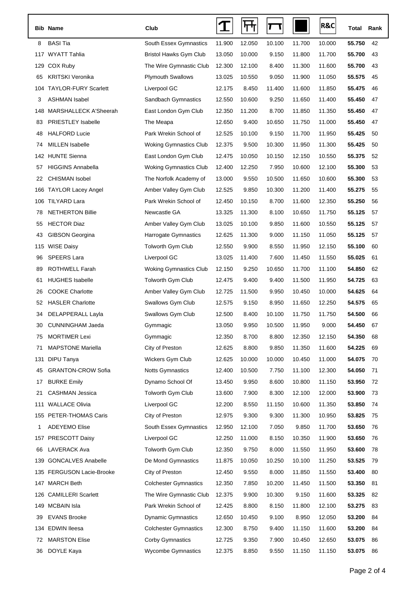|     | <b>Bib Name</b>             | Club                          |        | ┞┯┿    | т      |        | <b>R&amp;C</b> | Total  | Rank |
|-----|-----------------------------|-------------------------------|--------|--------|--------|--------|----------------|--------|------|
| 8   | <b>BASI Tia</b>             | South Essex Gymnastics        | 11.900 | 12.050 | 10.100 | 11.700 | 10.000         | 55.750 | 42   |
| 117 | WYATT Tahlia                | <b>Bristol Hawks Gym Club</b> | 13.050 | 10.000 | 9.150  | 11.800 | 11.700         | 55.700 | 43   |
| 129 | COX Ruby                    | The Wire Gymnastic Club       | 12.300 | 12.100 | 8.400  | 11.300 | 11.600         | 55.700 | 43   |
| 65  | <b>KRITSKI Veronika</b>     | <b>Plymouth Swallows</b>      | 13.025 | 10.550 | 9.050  | 11.900 | 11.050         | 55.575 | 45   |
| 104 | <b>TAYLOR-FURY Scarlett</b> | Liverpool GC                  | 12.175 | 8.450  | 11.400 | 11.600 | 11.850         | 55.475 | 46   |
| 3   | <b>ASHMAN Isabel</b>        | Sandbach Gymnastics           | 12.550 | 10.600 | 9.250  | 11.650 | 11.400         | 55.450 | 47   |
| 148 | MARSHALLECK A'Sheerah       | East London Gym Club          | 12.350 | 11.200 | 8.700  | 11.850 | 11.350         | 55.450 | 47   |
| 83  | <b>PRIESTLEY Isabelle</b>   | The Meapa                     | 12.650 | 9.400  | 10.650 | 11.750 | 11.000         | 55.450 | 47   |
| 48  | <b>HALFORD Lucie</b>        | Park Wrekin School of         | 12.525 | 10.100 | 9.150  | 11.700 | 11.950         | 55.425 | 50   |
| 74  | <b>MILLEN</b> Isabelle      | <b>Woking Gymnastics Club</b> | 12.375 | 9.500  | 10.300 | 11.950 | 11.300         | 55.425 | 50   |
|     | 142 HUNTE Sienna            | East London Gym Club          | 12.475 | 10.050 | 10.150 | 12.150 | 10.550         | 55.375 | 52   |
| 57  | <b>HIGGINS Annabella</b>    | <b>Woking Gymnastics Club</b> | 12.400 | 12.250 | 7.950  | 10.600 | 12.100         | 55.300 | 53   |
| 22  | <b>CHISMAN Isobel</b>       | The Norfolk Academy of        | 13.000 | 9.550  | 10.500 | 11.650 | 10.600         | 55.300 | 53   |
| 166 | <b>TAYLOR Lacey Angel</b>   | Amber Valley Gym Club         | 12.525 | 9.850  | 10.300 | 11.200 | 11.400         | 55.275 | 55   |
|     | 106 TILYARD Lara            | Park Wrekin School of         | 12.450 | 10.150 | 8.700  | 11.600 | 12.350         | 55.250 | 56   |
| 78  | <b>NETHERTON Billie</b>     | Newcastle GA                  | 13.325 | 11.300 | 8.100  | 10.650 | 11.750         | 55.125 | 57   |
| 55  | <b>HECTOR Diaz</b>          | Amber Valley Gym Club         | 13.025 | 10.100 | 9.850  | 11.600 | 10.550         | 55.125 | 57   |
| 43  | <b>GIBSON Georgina</b>      | Harrogate Gymnastics          | 12.625 | 11.300 | 9.000  | 11.150 | 11.050         | 55.125 | 57   |
|     | 115 WISE Daisy              | Tolworth Gym Club             | 12.550 | 9.900  | 8.550  | 11.950 | 12.150         | 55.100 | 60   |
| 96  | <b>SPEERS Lara</b>          | Liverpool GC                  | 13.025 | 11.400 | 7.600  | 11.450 | 11.550         | 55.025 | 61   |
| 89  | <b>ROTHWELL Farah</b>       | <b>Woking Gymnastics Club</b> | 12.150 | 9.250  | 10.650 | 11.700 | 11.100         | 54.850 | 62   |
| 61  | <b>HUGHES Isabelle</b>      | Tolworth Gym Club             | 12.475 | 9.400  | 9.400  | 11.500 | 11.950         | 54.725 | 63   |
| 26  | <b>COOKE Charlotte</b>      | Amber Valley Gym Club         | 12.725 | 11.500 | 9.950  | 10.450 | 10.000         | 54.625 | 64   |
| 52  | <b>HASLER Charlotte</b>     | <b>Swallows Gym Club</b>      | 12.575 | 9.150  | 8.950  | 11.650 | 12.250         | 54.575 | 65   |
| 34  | DELAPPERALL Layla           | Swallows Gym Club             | 12.500 | 8.400  | 10.100 | 11.750 | 11.750         | 54.500 | 66   |
| 30  | <b>CUNNINGHAM Jaeda</b>     | Gymmagic                      | 13.050 | 9.950  | 10.500 | 11.950 | 9.000          | 54.450 | 67   |
| 75  | <b>MORTIMER Lexi</b>        | Gymmagic                      | 12.350 | 8.700  | 8.800  | 12.350 | 12.150         | 54.350 | 68   |
| 71  | <b>MAPSTONE Mariella</b>    | City of Preston               | 12.625 | 8.800  | 9.850  | 11.350 | 11.600         | 54.225 | 69   |
| 131 | DIPU Tanya                  | Wickers Gym Club              | 12.625 | 10.000 | 10.000 | 10.450 | 11.000         | 54.075 | 70   |
| 45  | <b>GRANTON-CROW Sofia</b>   | <b>Notts Gymnastics</b>       | 12.400 | 10.500 | 7.750  | 11.100 | 12.300         | 54.050 | 71   |
| 17  | <b>BURKE Emily</b>          | Dynamo School Of              | 13.450 | 9.950  | 8.600  | 10.800 | 11.150         | 53.950 | 72   |
| 21  | <b>CASHMAN Jessica</b>      | Tolworth Gym Club             | 13.600 | 7.900  | 8.300  | 12.100 | 12.000         | 53.900 | 73   |
| 111 | <b>WALLACE Olivia</b>       | Liverpool GC                  | 12.200 | 8.550  | 11.150 | 10.600 | 11.350         | 53.850 | 74   |
|     | 155 PETER-THOMAS Caris      | City of Preston               | 12.975 | 9.300  | 9.300  | 11.300 | 10.950         | 53.825 | 75   |
| 1   | <b>ADEYEMO Elise</b>        | South Essex Gymnastics        | 12.950 | 12.100 | 7.050  | 9.850  | 11.700         | 53.650 | 76   |
|     | 157 PRESCOTT Daisy          | Liverpool GC                  | 12.250 | 11.000 | 8.150  | 10.350 | 11.900         | 53.650 | 76   |
| 66  | LAVERACK Ava                | Tolworth Gym Club             | 12.350 | 9.750  | 8.000  | 11.550 | 11.950         | 53.600 | 78   |
| 139 | <b>GONCALVES Anabelle</b>   | De Mond Gymnastics            | 11.875 | 10.050 | 10.250 | 10.100 | 11.250         | 53.525 | 79   |
|     | 135 FERGUSON Lacie-Brooke   | City of Preston               | 12.450 | 9.550  | 8.000  | 11.850 | 11.550         | 53.400 | 80   |
|     | 147 MARCH Beth              | <b>Colchester Gymnastics</b>  | 12.350 | 7.850  | 10.200 | 11.450 | 11.500         | 53.350 | 81   |
| 126 | <b>CAMILLERI Scarlett</b>   | The Wire Gymnastic Club       | 12.375 | 9.900  | 10.300 | 9.150  | 11.600         | 53.325 | 82   |
|     | 149 MCBAIN Isla             | Park Wrekin School of         | 12.425 | 8.800  | 8.150  | 11.800 | 12.100         | 53.275 | 83   |
| 39  | <b>EVANS Brooke</b>         | <b>Dynamic Gymnastics</b>     | 12.650 | 10.450 | 9.100  | 8.950  | 12.050         | 53.200 | 84   |
|     | 134 EDWIN Ileesa            | <b>Colchester Gymnastics</b>  | 12.300 | 8.750  | 9.400  | 11.150 | 11.600         | 53.200 | 84   |
| 72  | <b>MARSTON Elise</b>        | <b>Corby Gymnastics</b>       | 12.725 | 9.350  | 7.900  | 10.450 | 12.650         | 53.075 | 86   |
| 36  | DOYLE Kaya                  | Wycombe Gymnastics            | 12.375 | 8.850  | 9.550  | 11.150 | 11.150         | 53.075 | 86   |
|     |                             |                               |        |        |        |        |                |        |      |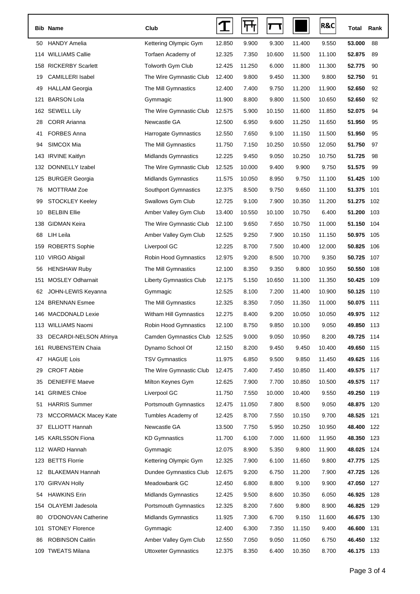|     | <b>Bib Name</b>               | Club                           |        |        | Т      |        | <b>R&amp;C</b> | Total      | Rank |
|-----|-------------------------------|--------------------------------|--------|--------|--------|--------|----------------|------------|------|
| 50  | <b>HANDY Amelia</b>           | Kettering Olympic Gym          | 12.850 | 9.900  | 9.300  | 11.400 | 9.550          | 53.000     | 88   |
|     | 114 WILLIAMS Callie           | Torfaen Academy of             | 12.325 | 7.350  | 10.600 | 11.500 | 11.100         | 52.875     | 89   |
| 158 | <b>RICKERBY Scarlett</b>      | Tolworth Gym Club              | 12.425 | 11.250 | 6.000  | 11.800 | 11.300         | 52.775     | 90   |
| 19  | <b>CAMILLERI</b> Isabel       | The Wire Gymnastic Club        | 12.400 | 9.800  | 9.450  | 11.300 | 9.800          | 52.750     | 91   |
| 49  | <b>HALLAM Georgia</b>         | The Mill Gymnastics            | 12.400 | 7.400  | 9.750  | 11.200 | 11.900         | 52.650     | 92   |
| 121 | <b>BARSON Lola</b>            | Gymmagic                       | 11.900 | 8.800  | 9.800  | 11.500 | 10.650         | 52.650     | 92   |
|     | 162 SEWELL Lily               | The Wire Gymnastic Club        | 12.575 | 5.900  | 10.150 | 11.600 | 11.850         | 52.075     | 94   |
| 28  | <b>CORR Arianna</b>           | Newcastle GA                   | 12.500 | 6.950  | 9.600  | 11.250 | 11.650         | 51.950     | 95   |
| 41  | <b>FORBES Anna</b>            | Harrogate Gymnastics           | 12.550 | 7.650  | 9.100  | 11.150 | 11.500         | 51.950     | 95   |
| 94  | SIMCOX Mia                    | The Mill Gymnastics            | 11.750 | 7.150  | 10.250 | 10.550 | 12.050         | 51.750     | 97   |
| 143 | <b>IRVINE Kaitlyn</b>         | <b>Midlands Gymnastics</b>     | 12.225 | 9.450  | 9.050  | 10.250 | 10.750         | 51.725     | 98   |
|     | 132 DONNELLY Izabel           | The Wire Gymnastic Club        | 12.525 | 10.000 | 9.400  | 9.900  | 9.750          | 51.575     | 99   |
|     | 125 BURGER Georgia            | <b>Midlands Gymnastics</b>     | 11.575 | 10.050 | 8.950  | 9.750  | 11.100         | 51.425     | 100  |
| 76  | <b>MOTTRAM Zoe</b>            | <b>Southport Gymnastics</b>    | 12.375 | 8.500  | 9.750  | 9.650  | 11.100         | 51.375     | 101  |
| 99  | <b>STOCKLEY Keeley</b>        | Swallows Gym Club              | 12.725 | 9.100  | 7.900  | 10.350 | 11.200         | 51.275     | 102  |
| 10  | <b>BELBIN Ellie</b>           | Amber Valley Gym Club          | 13.400 | 10.550 | 10.100 | 10.750 | 6.400          | 51.200     | 103  |
| 138 | <b>GIDMAN Keira</b>           | The Wire Gymnastic Club        | 12.100 | 9.650  | 7.650  | 10.750 | 11.000         | 51.150     | 104  |
| 68  | LIH Leila                     | Amber Valley Gym Club          | 12.525 | 9.250  | 7.900  | 10.150 | 11.150         | 50.975     | 105  |
| 159 | ROBERTS Sophie                | Liverpool GC                   | 12.225 | 8.700  | 7.500  | 10.400 | 12.000         | 50.825     | 106  |
|     | 110 VIRGO Abigail             | Robin Hood Gymnastics          | 12.975 | 9.200  | 8.500  | 10.700 | 9.350          | 50.725     | 107  |
| 56  | <b>HENSHAW Ruby</b>           | The Mill Gymnastics            | 12.100 | 8.350  | 9.350  | 9.800  | 10.950         | 50.550     | 108  |
| 151 | <b>MOSLEY Odharnait</b>       | <b>Liberty Gymnastics Club</b> | 12.175 | 5.150  | 10.650 | 11.100 | 11.350         | 50.425     | 109  |
| 62  | JOHN-LEWIS Keyanna            | Gymmagic                       | 12.525 | 8.100  | 7.200  | 11.400 | 10.900         | 50.125     | 110  |
|     | 124 BRENNAN Esmee             | The Mill Gymnastics            | 12.325 | 8.350  | 7.050  | 11.350 | 11.000         | 50.075     | 111  |
| 146 | <b>MACDONALD Lexie</b>        | Witham Hill Gymnastics         | 12.275 | 8.400  | 9.200  | 10.050 | 10.050         | 49.975     | 112  |
|     | 113 WILLIAMS Naomi            | Robin Hood Gymnastics          | 12.100 | 8.750  | 9.850  | 10.100 | 9.050          | 49.850     | 113  |
| 33  | <b>DECARDI-NELSON Afrinya</b> | <b>Camden Gymnastics Club</b>  | 12.525 | 9.000  | 9.050  | 10.950 | 8.200          | 49.725     | 114  |
| 161 | RUBENSTEIN Chaia              | Dynamo School Of               | 12.150 | 8.200  | 9.450  | 9.450  | 10.400         | 49.650     | 115  |
| 47  | <b>HAGUE Lois</b>             | <b>TSV Gymnastics</b>          | 11.975 | 6.850  | 9.500  | 9.850  | 11.450         | 49.625     | 116  |
| 29  | <b>CROFT Abbie</b>            | The Wire Gymnastic Club        | 12.475 | 7.400  | 7.450  | 10.850 | 11.400         | 49.575 117 |      |
| 35  | <b>DENIEFFE Maeve</b>         | Milton Keynes Gym              | 12.625 | 7.900  | 7.700  | 10.850 | 10.500         | 49.575     | 117  |
| 141 | <b>GRIMES Chloe</b>           | Liverpool GC                   | 11.750 | 7.550  | 10.000 | 10.400 | 9.550          | 49.250     | 119  |
| 51  | <b>HARRIS Summer</b>          | <b>Portsmouth Gymnastics</b>   | 12.475 | 11.050 | 7.800  | 8.500  | 9.050          | 48.875 120 |      |
| 73  | <b>MCCORMACK Macey Kate</b>   | Tumbles Academy of             | 12.425 | 8.700  | 7.550  | 10.150 | 9.700          | 48.525     | 121  |
| 37  | ELLIOTT Hannah                | Newcastle GA                   | 13.500 | 7.750  | 5.950  | 10.250 | 10.950         | 48.400     | 122  |
|     | 145 KARLSSON Fiona            | <b>KD Gymnastics</b>           | 11.700 | 6.100  | 7.000  | 11.600 | 11.950         | 48.350 123 |      |
|     | 112 WARD Hannah               | Gymmagic                       | 12.075 | 8.900  | 5.350  | 9.800  | 11.900         | 48.025     | 124  |
|     | 123 BETTS Florrie             | Kettering Olympic Gym          | 12.325 | 7.900  | 6.100  | 11.650 | 9.800          | 47.775     | 125  |
| 12  | <b>BLAKEMAN Hannah</b>        | <b>Dundee Gymnastics Club</b>  | 12.675 | 9.200  | 6.750  | 11.200 | 7.900          | 47.725     | 126  |
| 170 | <b>GIRVAN Holly</b>           | Meadowbank GC                  | 12.450 | 6.800  | 8.800  | 9.100  | 9.900          | 47.050     | 127  |
| 54  | <b>HAWKINS Erin</b>           | Midlands Gymnastics            | 12.425 | 9.500  | 8.600  | 10.350 | 6.050          | 46.925     | 128  |
|     | 154 OLAYEMI Jadesola          | <b>Portsmouth Gymnastics</b>   | 12.325 | 8.200  | 7.600  | 9.800  | 8.900          | 46.825     | 129  |
| 80  | O'DONOVAN Catherine           | <b>Midlands Gymnastics</b>     | 11.925 | 7.300  | 6.700  | 9.150  | 11.600         | 46.675     | 130  |
| 101 | <b>STONEY Florence</b>        | Gymmagic                       | 12.400 | 6.300  | 7.350  | 11.150 | 9.400          | 46.600     | 131  |
| 86  | <b>ROBINSON Caitlin</b>       | Amber Valley Gym Club          | 12.550 | 7.050  | 9.050  | 11.050 | 6.750          | 46.450 132 |      |
|     | 109 TWEATS Milana             | <b>Uttoxeter Gymnastics</b>    | 12.375 | 8.350  | 6.400  | 10.350 | 8.700          | 46.175 133 |      |
|     |                               |                                |        |        |        |        |                |            |      |